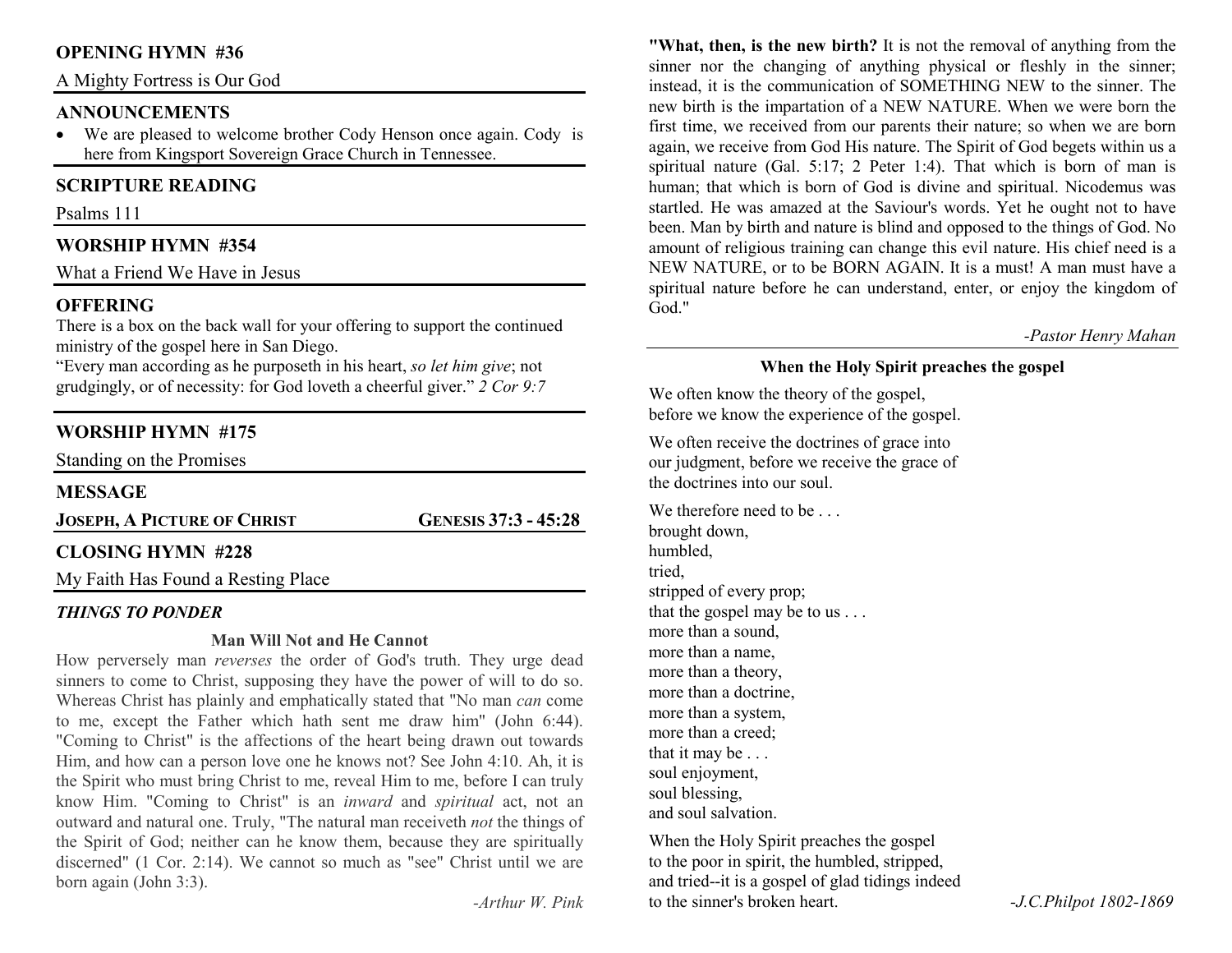# **OPENING HYMN #36**

A Mighty Fortress is Our God

#### **ANNOUNCEMENTS**

• We are pleased to welcome brother Cody Henson once again. Cody is here from Kingsport Sovereign Grace Church in Tennessee.

# **SCRIPTURE READING**

Psalms 111

# **WORSHIP HYMN #354**

What a Friend We Have in Jesus

# **OFFERING**

 There is a box on the back wall for your offering to support the continued ministry of the gospel here in San Diego.

 "Every man according as he purposeth in his heart, *so let him give*; not grudgingly, or of necessity: for God loveth a cheerful giver." *2 Cor 9:7*

# **WORSHIP HYMN #175**

Standing on the Promises

#### **MESSAGE**

**JOSEPH, APICTURE OF CHRIST**

**GENESIS 37:3 - 45:28** 

# **CLOSING HYMN #228**

My Faith Has Found a Resting Place

#### *THINGS TO PONDER*

#### **Man Will Not and He Cannot**

 How perversely man *reverses* the order of God's truth. They urge dead sinners to come to Christ, supposing they have the power of will to do so. Whereas Christ has plainly and emphatically stated that "No man *can* come to me, except the Father which hath sent me draw him" (John 6:44). "Coming to Christ" is the affections of the heart being drawn out towards Him, and how can a person love one he knows not? See John 4:10. Ah, it is the Spirit who must bring Christ to me, reveal Him to me, before I can truly know Him. "Coming to Christ" is an *inward* and *spiritual* act, not an outward and natural one. Truly, "The natural man receiveth *not* the things of the Spirit of God; neither can he know them, because they are spiritually discerned" (1 Cor. 2:14). We cannot so much as "see" Christ until we are born again (John 3:3).

*-Arthur W. Pink*

**"What, then, is the new birth?** It is not the removal of anything from the sinner nor the changing of anything physical or fleshly in the sinner; instead, it is the communication of SOMETHING NEW to the sinner. The new birth is the impartation of a NEW NATURE. When we were born the first time, we received from our parents their nature; so when we are born again, we receive from God His nature. The Spirit of God begets within us a spiritual nature (Gal. 5:17; 2 Peter 1:4). That which is born of man is human; that which is born of God is divine and spiritual. Nicodemus was startled. He was amazed at the Saviour's words. Yet he ought not to have been. Man by birth and nature is blind and opposed to the things of God. No amount of religious training can change this evil nature. His chief need is a NEW NATURE, or to be BORN AGAIN. It is a must! A man must have a spiritual nature before he can understand, enter, or enjoy the kingdom of God<sup>"</sup>

#### *-Pastor Henry Mahan*

# **When the Holy Spirit preaches the gospel**

We often know the theory of the gospel, before we know the experience of the gospel.

We often receive the doctrines of grace into our judgment, before we receive the grace of the doctrines into our soul.

We therefore need to be ... brought down, humbled, tried, stripped of every prop; that the gospel may be to us . . . more than a sound, more than a name, more than a theory, more than a doctrine, more than a system, more than a creed; that it may be . . . soul enjoyment, soul blessing, and soul salvation.

When the Holy Spirit preaches the gospel to the poor in spirit, the humbled, stripped, and tried--it is a gospel of glad tidings indeed to the sinner's broken heart. *-J.C.Philpot 1802-1869*